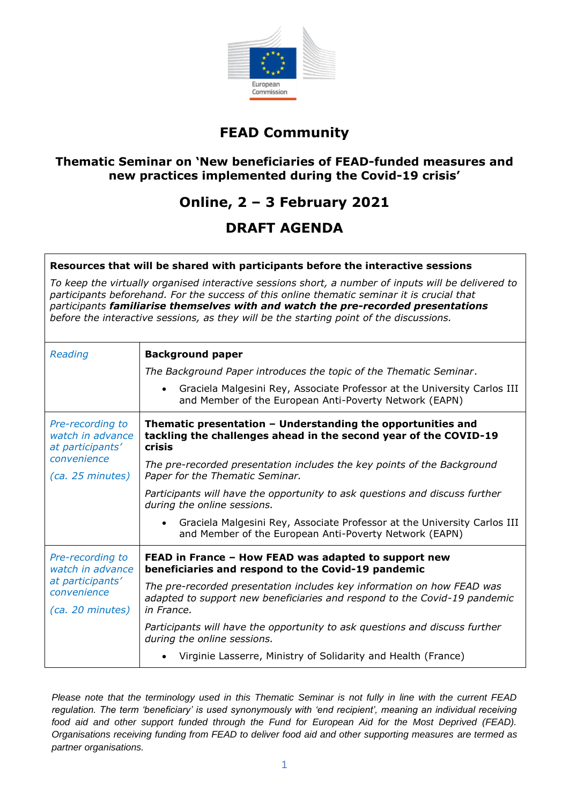

### **FEAD Community**

### **Thematic Seminar on 'New beneficiaries of FEAD-funded measures and new practices implemented during the Covid-19 crisis'**

### **Online, 2 – 3 February 2021**

### **DRAFT AGENDA**

#### **Resources that will be shared with participants before the interactive sessions**

*To keep the virtually organised interactive sessions short, a number of inputs will be delivered to participants beforehand. For the success of this online thematic seminar it is crucial that participants familiarise themselves with and watch the pre-recorded presentations before the interactive sessions, as they will be the starting point of the discussions.* 

| Reading                                                                                     | <b>Background paper</b>                                                                                                                                                                                               |
|---------------------------------------------------------------------------------------------|-----------------------------------------------------------------------------------------------------------------------------------------------------------------------------------------------------------------------|
|                                                                                             | The Background Paper introduces the topic of the Thematic Seminar.<br>Graciela Malgesini Rey, Associate Professor at the University Carlos III<br>$\bullet$<br>and Member of the European Anti-Poverty Network (EAPN) |
| Pre-recording to<br>watch in advance<br>at participants'<br>convenience<br>(ca. 25 minutes) | Thematic presentation - Understanding the opportunities and<br>tackling the challenges ahead in the second year of the COVID-19<br><b>crisis</b>                                                                      |
|                                                                                             | The pre-recorded presentation includes the key points of the Background<br>Paper for the Thematic Seminar.                                                                                                            |
|                                                                                             | Participants will have the opportunity to ask questions and discuss further<br>during the online sessions.                                                                                                            |
|                                                                                             | Graciela Malgesini Rey, Associate Professor at the University Carlos III<br>$\bullet$<br>and Member of the European Anti-Poverty Network (EAPN)                                                                       |
| Pre-recording to<br>watch in advance<br>at participants'<br>convenience<br>(ca. 20 minutes) | FEAD in France - How FEAD was adapted to support new<br>beneficiaries and respond to the Covid-19 pandemic                                                                                                            |
|                                                                                             | The pre-recorded presentation includes key information on how FEAD was<br>adapted to support new beneficiaries and respond to the Covid-19 pandemic<br>in France.                                                     |
|                                                                                             | Participants will have the opportunity to ask questions and discuss further<br>during the online sessions.                                                                                                            |
|                                                                                             | Virginie Lasserre, Ministry of Solidarity and Health (France)                                                                                                                                                         |

*Please note that the terminology used in this Thematic Seminar is not fully in line with the current FEAD regulation. The term 'beneficiary' is used synonymously with 'end recipient', meaning an individual receiving*  food aid and other support funded through the Fund for European Aid for the Most Deprived (FEAD). *Organisations receiving funding from FEAD to deliver food aid and other supporting measures are termed as partner organisations.*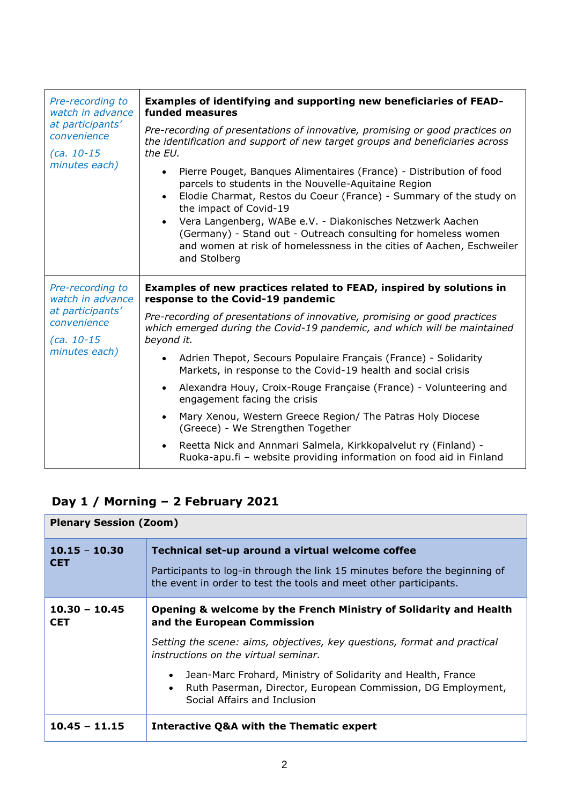| Pre-recording to<br>watch in advance<br>at participants'<br>convenience<br>$(ca. 10-15$<br>minutes each) | Examples of identifying and supporting new beneficiaries of FEAD-<br>funded measures<br>Pre-recording of presentations of innovative, promising or good practices on<br>the identification and support of new target groups and beneficiaries across<br>the EU.<br>Pierre Pouget, Banques Alimentaires (France) - Distribution of food<br>$\bullet$<br>parcels to students in the Nouvelle-Aquitaine Region<br>Elodie Charmat, Restos du Coeur (France) - Summary of the study on<br>$\bullet$<br>the impact of Covid-19<br>Vera Langenberg, WABe e.V. - Diakonisches Netzwerk Aachen<br>(Germany) - Stand out - Outreach consulting for homeless women<br>and women at risk of homelessness in the cities of Aachen, Eschweiler<br>and Stolberg                                                                         |
|----------------------------------------------------------------------------------------------------------|--------------------------------------------------------------------------------------------------------------------------------------------------------------------------------------------------------------------------------------------------------------------------------------------------------------------------------------------------------------------------------------------------------------------------------------------------------------------------------------------------------------------------------------------------------------------------------------------------------------------------------------------------------------------------------------------------------------------------------------------------------------------------------------------------------------------------|
| Pre-recording to<br>watch in advance<br>at participants'<br>convenience<br>$(ca. 10-15$<br>minutes each) | Examples of new practices related to FEAD, inspired by solutions in<br>response to the Covid-19 pandemic<br>Pre-recording of presentations of innovative, promising or good practices<br>which emerged during the Covid-19 pandemic, and which will be maintained<br>beyond it.<br>Adrien Thepot, Secours Populaire Français (France) - Solidarity<br>$\bullet$<br>Markets, in response to the Covid-19 health and social crisis<br>Alexandra Houy, Croix-Rouge Française (France) - Volunteering and<br>$\bullet$<br>engagement facing the crisis<br>Mary Xenou, Western Greece Region/ The Patras Holy Diocese<br>$\bullet$<br>(Greece) - We Strengthen Together<br>Reetta Nick and Annmari Salmela, Kirkkopalvelut ry (Finland) -<br>$\bullet$<br>Ruoka-apu.fi - website providing information on food aid in Finland |

# **Day 1 / Morning – 2 February 2021**

| <b>Plenary Session (Zoom)</b> |                                                                                                                                                                                                                                                                                                                                                                                                                |
|-------------------------------|----------------------------------------------------------------------------------------------------------------------------------------------------------------------------------------------------------------------------------------------------------------------------------------------------------------------------------------------------------------------------------------------------------------|
| $10.15 - 10.30$<br><b>CET</b> | Technical set-up around a virtual welcome coffee<br>Participants to log-in through the link 15 minutes before the beginning of<br>the event in order to test the tools and meet other participants.                                                                                                                                                                                                            |
| $10.30 - 10.45$<br><b>CET</b> | Opening & welcome by the French Ministry of Solidarity and Health<br>and the European Commission<br>Setting the scene: aims, objectives, key questions, format and practical<br>instructions on the virtual seminar.<br>Jean-Marc Frohard, Ministry of Solidarity and Health, France<br>$\bullet$<br>Ruth Paserman, Director, European Commission, DG Employment,<br>$\bullet$<br>Social Affairs and Inclusion |
| $10.45 - 11.15$               | <b>Interactive Q&amp;A with the Thematic expert</b>                                                                                                                                                                                                                                                                                                                                                            |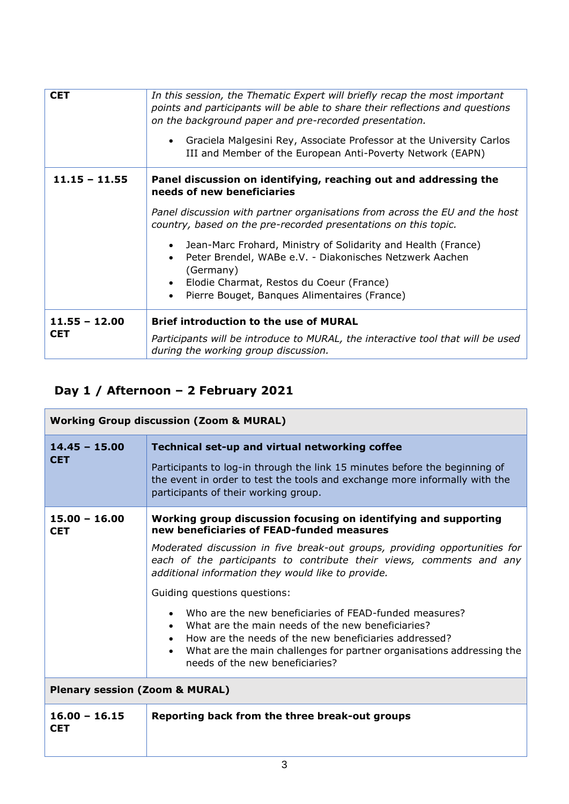| <b>CET</b>                    | In this session, the Thematic Expert will briefly recap the most important<br>points and participants will be able to share their reflections and questions<br>on the background paper and pre-recorded presentation.<br>Graciela Malgesini Rey, Associate Professor at the University Carlos<br>$\bullet$<br>III and Member of the European Anti-Poverty Network (EAPN) |
|-------------------------------|--------------------------------------------------------------------------------------------------------------------------------------------------------------------------------------------------------------------------------------------------------------------------------------------------------------------------------------------------------------------------|
| $11.15 - 11.55$               | Panel discussion on identifying, reaching out and addressing the<br>needs of new beneficiaries                                                                                                                                                                                                                                                                           |
|                               | Panel discussion with partner organisations from across the EU and the host<br>country, based on the pre-recorded presentations on this topic.                                                                                                                                                                                                                           |
|                               | Jean-Marc Frohard, Ministry of Solidarity and Health (France)<br>$\bullet$<br>Peter Brendel, WABe e.V. - Diakonisches Netzwerk Aachen<br>$\bullet$<br>(Germany)                                                                                                                                                                                                          |
|                               | Elodie Charmat, Restos du Coeur (France)<br>$\bullet$<br>Pierre Bouget, Banques Alimentaires (France)<br>$\bullet$                                                                                                                                                                                                                                                       |
|                               |                                                                                                                                                                                                                                                                                                                                                                          |
| $11.55 - 12.00$<br><b>CET</b> | <b>Brief introduction to the use of MURAL</b>                                                                                                                                                                                                                                                                                                                            |
|                               | Participants will be introduce to MURAL, the interactive tool that will be used<br>during the working group discussion.                                                                                                                                                                                                                                                  |

### **Day 1 / Afternoon – 2 February 2021**

| <b>Working Group discussion (Zoom &amp; MURAL)</b> |                                                                                                                                                                                                                                                                                                                                                                                                                                                                                                                                                                                                                                                |
|----------------------------------------------------|------------------------------------------------------------------------------------------------------------------------------------------------------------------------------------------------------------------------------------------------------------------------------------------------------------------------------------------------------------------------------------------------------------------------------------------------------------------------------------------------------------------------------------------------------------------------------------------------------------------------------------------------|
| $14.45 - 15.00$<br><b>CET</b>                      | Technical set-up and virtual networking coffee<br>Participants to log-in through the link 15 minutes before the beginning of<br>the event in order to test the tools and exchange more informally with the<br>participants of their working group.                                                                                                                                                                                                                                                                                                                                                                                             |
| $15.00 - 16.00$<br><b>CET</b>                      | Working group discussion focusing on identifying and supporting<br>new beneficiaries of FEAD-funded measures<br>Moderated discussion in five break-out groups, providing opportunities for<br>each of the participants to contribute their views, comments and any<br>additional information they would like to provide.<br>Guiding questions questions:<br>• Who are the new beneficiaries of FEAD-funded measures?<br>What are the main needs of the new beneficiaries?<br>How are the needs of the new beneficiaries addressed?<br>What are the main challenges for partner organisations addressing the<br>needs of the new beneficiaries? |
| <b>Plenary session (Zoom &amp; MURAL)</b>          |                                                                                                                                                                                                                                                                                                                                                                                                                                                                                                                                                                                                                                                |
| $16.00 - 16.15$<br><b>CET</b>                      | Reporting back from the three break-out groups                                                                                                                                                                                                                                                                                                                                                                                                                                                                                                                                                                                                 |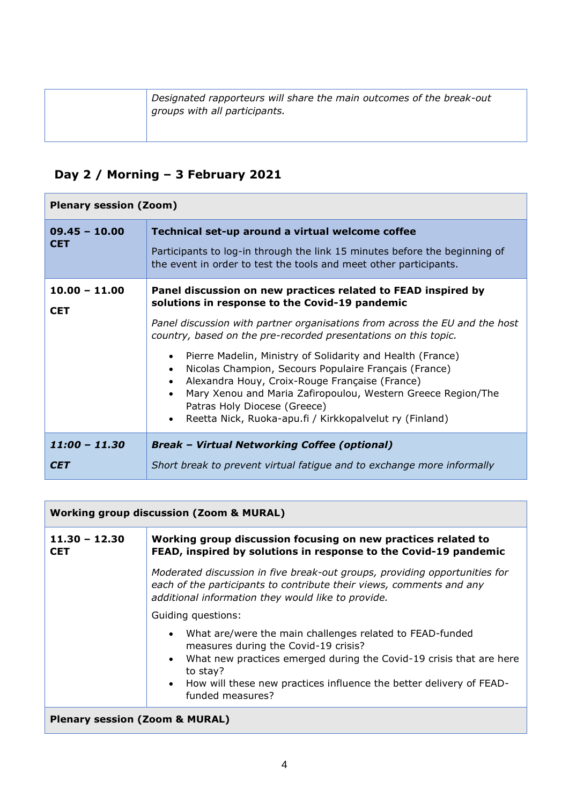| Designated rapporteurs will share the main outcomes of the break-out<br>groups with all participants. |
|-------------------------------------------------------------------------------------------------------|
|                                                                                                       |

## **Day 2 / Morning – 3 February 2021**

| <b>Plenary session (Zoom)</b> |                                                                                                                                                                                                                                                                                                                                                                                                                                                                                                                                                                                                                                                           |
|-------------------------------|-----------------------------------------------------------------------------------------------------------------------------------------------------------------------------------------------------------------------------------------------------------------------------------------------------------------------------------------------------------------------------------------------------------------------------------------------------------------------------------------------------------------------------------------------------------------------------------------------------------------------------------------------------------|
| $09.45 - 10.00$<br><b>CET</b> | Technical set-up around a virtual welcome coffee<br>Participants to log-in through the link 15 minutes before the beginning of<br>the event in order to test the tools and meet other participants.                                                                                                                                                                                                                                                                                                                                                                                                                                                       |
| $10.00 - 11.00$<br><b>CET</b> | Panel discussion on new practices related to FEAD inspired by<br>solutions in response to the Covid-19 pandemic<br>Panel discussion with partner organisations from across the EU and the host<br>country, based on the pre-recorded presentations on this topic.<br>Pierre Madelin, Ministry of Solidarity and Health (France)<br>$\bullet$<br>Nicolas Champion, Secours Populaire Français (France)<br>$\bullet$<br>Alexandra Houy, Croix-Rouge Française (France)<br>$\bullet$<br>Mary Xenou and Maria Zafiropoulou, Western Greece Region/The<br>Patras Holy Diocese (Greece)<br>Reetta Nick, Ruoka-apu.fi / Kirkkopalvelut ry (Finland)<br>$\bullet$ |
| $11:00 - 11.30$<br><b>CET</b> | <b>Break - Virtual Networking Coffee (optional)</b><br>Short break to prevent virtual fatigue and to exchange more informally                                                                                                                                                                                                                                                                                                                                                                                                                                                                                                                             |

| <b>Working group discussion (Zoom &amp; MURAL)</b> |                                                                                                                                                                                                                                                                                                 |
|----------------------------------------------------|-------------------------------------------------------------------------------------------------------------------------------------------------------------------------------------------------------------------------------------------------------------------------------------------------|
| $11.30 - 12.30$<br><b>CET</b>                      | Working group discussion focusing on new practices related to<br>FEAD, inspired by solutions in response to the Covid-19 pandemic                                                                                                                                                               |
|                                                    | Moderated discussion in five break-out groups, providing opportunities for<br>each of the participants to contribute their views, comments and any<br>additional information they would like to provide.                                                                                        |
|                                                    | Guiding questions:                                                                                                                                                                                                                                                                              |
|                                                    | • What are/were the main challenges related to FEAD-funded<br>measures during the Covid-19 crisis?<br>What new practices emerged during the Covid-19 crisis that are here<br>$\bullet$<br>to stay?<br>• How will these new practices influence the better delivery of FEAD-<br>funded measures? |
| <b>Plenary session (Zoom &amp; MURAL)</b>          |                                                                                                                                                                                                                                                                                                 |